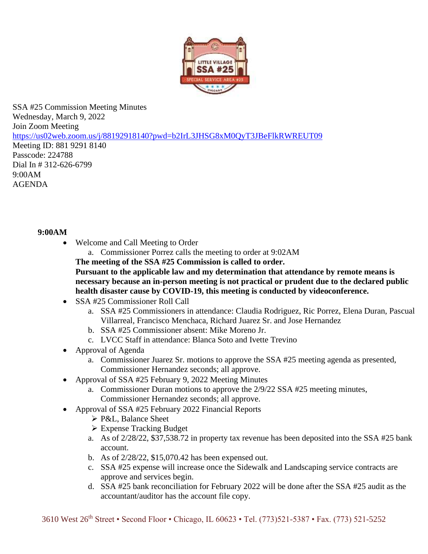

SSA #25 Commission Meeting Minutes Wednesday, March 9, 2022 Join Zoom Meeting [https://us02web.zoom.us/j/88192918140?pwd=b2IrL3JHSG8xM0QyT3JBeFlkRWREUT09](https://www.google.com/url?q=https://us02web.zoom.us/j/88192918140?pwd%3Db2IrL3JHSG8xM0QyT3JBeFlkRWREUT09&sa=D&source=calendar&ust=1644864944492317&usg=AOvVaw09cYNF_czAt0VSpfXBJ1_g) Meeting ID: 881 9291 8140

Passcode: 224788 Dial In # 312-626-6799 9:00AM AGENDA

## **9:00AM**

- Welcome and Call Meeting to Order
	- a. Commissioner Porrez calls the meeting to order at 9:02AM
	- **The meeting of the SSA #25 Commission is called to order.**

**Pursuant to the applicable law and my determination that attendance by remote means is necessary because an in-person meeting is not practical or prudent due to the declared public health disaster cause by COVID-19, this meeting is conducted by videoconference.**

- SSA #25 Commissioner Roll Call
	- a. SSA #25 Commissioners in attendance: Claudia Rodriguez, Ric Porrez, Elena Duran, Pascual Villarreal, Francisco Menchaca, Richard Juarez Sr. and Jose Hernandez
	- b. SSA #25 Commissioner absent: Mike Moreno Jr.
	- c. LVCC Staff in attendance: Blanca Soto and Ivette Trevino
- Approval of Agenda
	- a. Commissioner Juarez Sr. motions to approve the SSA #25 meeting agenda as presented, Commissioner Hernandez seconds; all approve.
- Approval of SSA #25 February 9, 2022 Meeting Minutes
	- a. Commissioner Duran motions to approve the 2/9/22 SSA #25 meeting minutes, Commissioner Hernandez seconds; all approve.
- Approval of SSA #25 February 2022 Financial Reports
	- ➢ P&L, Balance Sheet
	- ➢ Expense Tracking Budget
	- a. As of 2/28/22, \$37,538.72 in property tax revenue has been deposited into the SSA #25 bank account.
	- b. As of 2/28/22, \$15,070.42 has been expensed out.
	- c. SSA #25 expense will increase once the Sidewalk and Landscaping service contracts are approve and services begin.
	- d. SSA #25 bank reconciliation for February 2022 will be done after the SSA #25 audit as the accountant/auditor has the account file copy.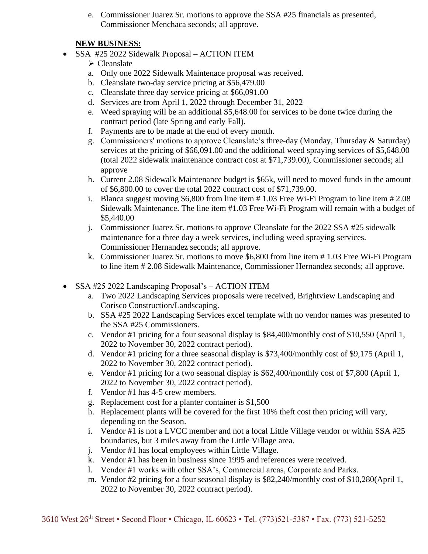e. Commissioner Juarez Sr. motions to approve the SSA #25 financials as presented, Commissioner Menchaca seconds; all approve.

## **NEW BUSINESS:**

- SSA #25 2022 Sidewalk Proposal ACTION ITEM
	- ➢ Cleanslate
	- a. Only one 2022 Sidewalk Maintenace proposal was received.
	- b. Cleanslate two-day service pricing at \$56,479.00
	- c. Cleanslate three day service pricing at \$66,091.00
	- d. Services are from April 1, 2022 through December 31, 2022
	- e. Weed spraying will be an additional \$5,648.00 for services to be done twice during the contract period (late Spring and early Fall).
	- f. Payments are to be made at the end of every month.
	- g. Commissioners' motions to approve Cleanslate's three-day (Monday, Thursday & Saturday) services at the pricing of \$66,091.00 and the additional weed spraying services of \$5,648.00 (total 2022 sidewalk maintenance contract cost at \$71,739.00), Commissioner seconds; all approve
	- h. Current 2.08 Sidewalk Maintenance budget is \$65k, will need to moved funds in the amount of \$6,800.00 to cover the total 2022 contract cost of \$71,739.00.
	- i. Blanca suggest moving \$6,800 from line item # 1.03 Free Wi-Fi Program to line item # 2.08 Sidewalk Maintenance. The line item #1.03 Free Wi-Fi Program will remain with a budget of \$5,440.00
	- j. Commissioner Juarez Sr. motions to approve Cleanslate for the 2022 SSA #25 sidewalk maintenance for a three day a week services, including weed spraying services. Commissioner Hernandez seconds; all approve.
	- k. Commissioner Juarez Sr. motions to move \$6,800 from line item # 1.03 Free Wi-Fi Program to line item # 2.08 Sidewalk Maintenance, Commissioner Hernandez seconds; all approve.
- SSA #25 2022 Landscaping Proposal's ACTION ITEM
	- a. Two 2022 Landscaping Services proposals were received, Brightview Landscaping and Corisco Construction/Landscaping.
	- b. SSA #25 2022 Landscaping Services excel template with no vendor names was presented to the SSA #25 Commissioners.
	- c. Vendor #1 pricing for a four seasonal display is \$84,400/monthly cost of \$10,550 (April 1, 2022 to November 30, 2022 contract period).
	- d. Vendor #1 pricing for a three seasonal display is \$73,400/monthly cost of \$9,175 (April 1, 2022 to November 30, 2022 contract period).
	- e. Vendor #1 pricing for a two seasonal display is \$62,400/monthly cost of \$7,800 (April 1, 2022 to November 30, 2022 contract period).
	- f. Vendor #1 has 4-5 crew members.
	- g. Replacement cost for a planter container is \$1,500
	- h. Replacement plants will be covered for the first 10% theft cost then pricing will vary, depending on the Season.
	- i. Vendor #1 is not a LVCC member and not a local Little Village vendor or within SSA #25 boundaries, but 3 miles away from the Little Village area.
	- j. Vendor #1 has local employees within Little Village.
	- k. Vendor #1 has been in business since 1995 and references were received.
	- l. Vendor #1 works with other SSA's, Commercial areas, Corporate and Parks.
	- m. Vendor #2 pricing for a four seasonal display is \$82,240/monthly cost of \$10,280(April 1, 2022 to November 30, 2022 contract period).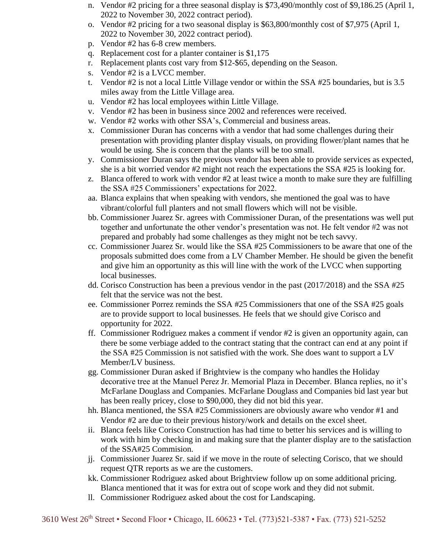- n. Vendor #2 pricing for a three seasonal display is \$73,490/monthly cost of \$9,186.25 (April 1, 2022 to November 30, 2022 contract period).
- o. Vendor #2 pricing for a two seasonal display is \$63,800/monthly cost of \$7,975 (April 1, 2022 to November 30, 2022 contract period).
- p. Vendor #2 has 6-8 crew members.
- q. Replacement cost for a planter container is \$1,175
- r. Replacement plants cost vary from \$12-\$65, depending on the Season.
- s. Vendor #2 is a LVCC member.
- t. Vendor #2 is not a local Little Village vendor or within the SSA #25 boundaries, but is 3.5 miles away from the Little Village area.
- u. Vendor #2 has local employees within Little Village.
- v. Vendor #2 has been in business since 2002 and references were received.
- w. Vendor #2 works with other SSA's, Commercial and business areas.
- x. Commissioner Duran has concerns with a vendor that had some challenges during their presentation with providing planter display visuals, on providing flower/plant names that he would be using. She is concern that the plants will be too small.
- y. Commissioner Duran says the previous vendor has been able to provide services as expected, she is a bit worried vendor #2 might not reach the expectations the SSA #25 is looking for.
- z. Blanca offered to work with vendor #2 at least twice a month to make sure they are fulfilling the SSA #25 Commissioners' expectations for 2022.
- aa. Blanca explains that when speaking with vendors, she mentioned the goal was to have vibrant/colorful full planters and not small flowers which will not be visible.
- bb. Commissioner Juarez Sr. agrees with Commissioner Duran, of the presentations was well put together and unfortunate the other vendor's presentation was not. He felt vendor #2 was not prepared and probably had some challenges as they might not be tech savvy.
- cc. Commissioner Juarez Sr. would like the SSA #25 Commissioners to be aware that one of the proposals submitted does come from a LV Chamber Member. He should be given the benefit and give him an opportunity as this will line with the work of the LVCC when supporting local businesses.
- dd. Corisco Construction has been a previous vendor in the past (2017/2018) and the SSA #25 felt that the service was not the best.
- ee. Commissioner Porrez reminds the SSA #25 Commissioners that one of the SSA #25 goals are to provide support to local businesses. He feels that we should give Corisco and opportunity for 2022.
- ff. Commissioner Rodriguez makes a comment if vendor #2 is given an opportunity again, can there be some verbiage added to the contract stating that the contract can end at any point if the SSA #25 Commission is not satisfied with the work. She does want to support a LV Member/LV business.
- gg. Commissioner Duran asked if Brightview is the company who handles the Holiday decorative tree at the Manuel Perez Jr. Memorial Plaza in December. Blanca replies, no it's McFarlane Douglass and Companies. McFarlane Douglass and Companies bid last year but has been really pricey, close to \$90,000, they did not bid this year.
- hh. Blanca mentioned, the SSA #25 Commissioners are obviously aware who vendor #1 and Vendor #2 are due to their previous history/work and details on the excel sheet.
- ii. Blanca feels like Corisco Construction has had time to better his services and is willing to work with him by checking in and making sure that the planter display are to the satisfaction of the SSA#25 Commision.
- jj. Commissioner Juarez Sr. said if we move in the route of selecting Corisco, that we should request QTR reports as we are the customers.
- kk. Commissioner Rodriguez asked about Brightview follow up on some additional pricing. Blanca mentioned that it was for extra out of scope work and they did not submit.
- ll. Commissioner Rodriguez asked about the cost for Landscaping.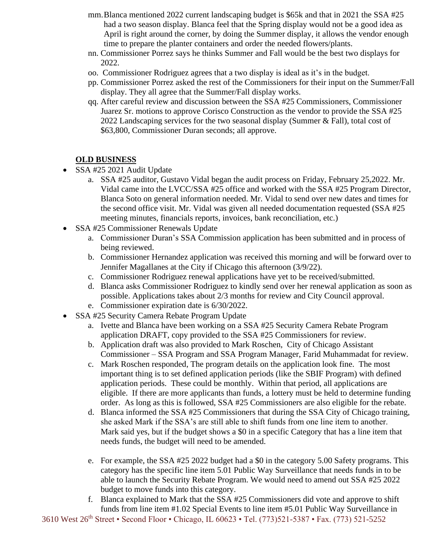- mm.Blanca mentioned 2022 current landscaping budget is \$65k and that in 2021 the SSA #25 had a two season display. Blanca feel that the Spring display would not be a good idea as April is right around the corner, by doing the Summer display, it allows the vendor enough time to prepare the planter containers and order the needed flowers/plants.
- nn. Commissioner Porrez says he thinks Summer and Fall would be the best two displays for 2022.
- oo. Commissioner Rodriguez agrees that a two display is ideal as it's in the budget.
- pp. Commissioner Porrez asked the rest of the Commissioners for their input on the Summer/Fall display. They all agree that the Summer/Fall display works.
- qq. After careful review and discussion between the SSA #25 Commissioners, Commissioner Juarez Sr. motions to approve Corisco Construction as the vendor to provide the SSA #25 2022 Landscaping services for the two seasonal display (Summer & Fall), total cost of \$63,800, Commissioner Duran seconds; all approve.

## **OLD BUSINESS**

- SSA #25 2021 Audit Update
	- a. SSA #25 auditor, Gustavo Vidal began the audit process on Friday, February 25,2022. Mr. Vidal came into the LVCC/SSA #25 office and worked with the SSA #25 Program Director, Blanca Soto on general information needed. Mr. Vidal to send over new dates and times for the second office visit. Mr. Vidal was given all needed documentation requested (SSA #25 meeting minutes, financials reports, invoices, bank reconciliation, etc.)
- SSA #25 Commissioner Renewals Update
	- a. Commissioner Duran's SSA Commission application has been submitted and in process of being reviewed.
	- b. Commissioner Hernandez application was received this morning and will be forward over to Jennifer Magallanes at the City if Chicago this afternoon (3/9/22).
	- c. Commissioner Rodriguez renewal applications have yet to be received/submitted.
	- d. Blanca asks Commissioner Rodriguez to kindly send over her renewal application as soon as possible. Applications takes about 2/3 months for review and City Council approval.
	- e. Commissioner expiration date is 6/30/2022.
- SSA #25 Security Camera Rebate Program Update
	- a. Ivette and Blanca have been working on a SSA #25 Security Camera Rebate Program application DRAFT, copy provided to the SSA #25 Commissioners for review.
	- b. Application draft was also provided to Mark Roschen, City of Chicago Assistant Commissioner – SSA Program and SSA Program Manager, Farid Muhammadat for review.
	- c. Mark Roschen responded, The program details on the application look fine. The most important thing is to set defined application periods (like the SBIF Program) with defined application periods. These could be monthly. Within that period, all applications are eligible. If there are more applicants than funds, a lottery must be held to determine funding order. As long as this is followed, SSA #25 Commissioners are also eligible for the rebate.
	- d. Blanca informed the SSA #25 Commissioners that during the SSA City of Chicago training, she asked Mark if the SSA's are still able to shift funds from one line item to another. Mark said yes, but if the budget shows a \$0 in a specific Category that has a line item that needs funds, the budget will need to be amended.
	- e. For example, the SSA #25 2022 budget had a \$0 in the category 5.00 Safety programs. This category has the specific line item 5.01 Public Way Surveillance that needs funds in to be able to launch the Security Rebate Program. We would need to amend out SSA #25 2022 budget to move funds into this category.
	- f. Blanca explained to Mark that the SSA #25 Commissioners did vote and approve to shift funds from line item #1.02 Special Events to line item #5.01 Public Way Surveillance in

3610 West 26th Street • Second Floor • Chicago, IL 60623 • Tel. (773)521-5387 • Fax. (773) 521-5252